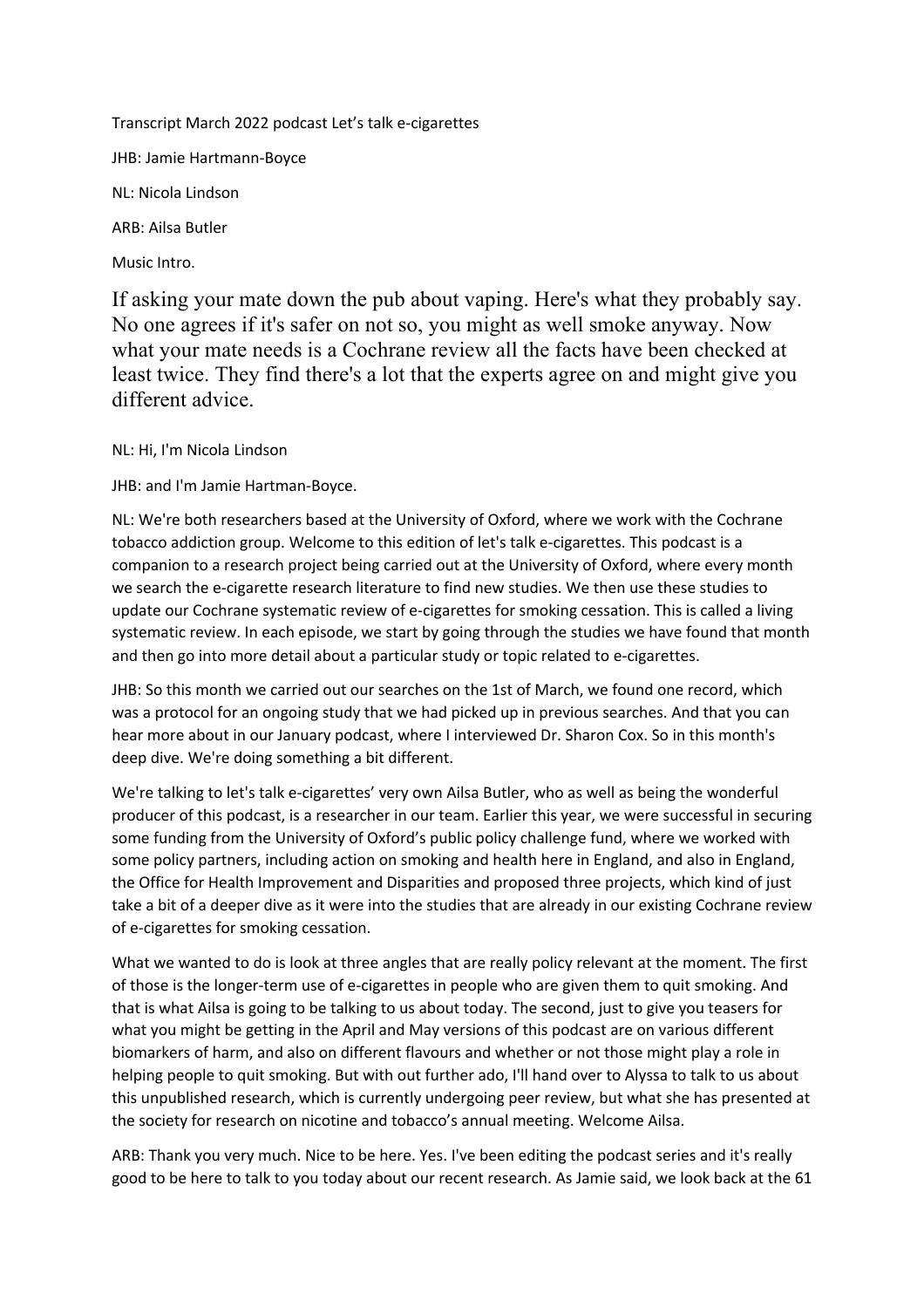Transcript March 2022 podcast Let's talk e-cigarettes JHB: Jamie Hartmann-Boyce NL: Nicola Lindson ARB: Ailsa Butler Music Intro.

If asking your mate down the pub about vaping. Here's what they probably say. No one agrees if it's safer on not so, you might as well smoke anyway. Now what your mate needs is a Cochrane review all the facts have been checked at least twice. They find there's a lot that the experts agree on and might give you different advice.

NL: Hi, I'm Nicola Lindson

JHB: and I'm Jamie Hartman-Boyce.

NL: We're both researchers based at the University of Oxford, where we work with the Cochrane tobacco addiction group. Welcome to this edition of let's talk e-cigarettes. This podcast is a companion to a research project being carried out at the University of Oxford, where every month we search the e-cigarette research literature to find new studies. We then use these studies to update our Cochrane systematic review of e-cigarettes for smoking cessation. This is called a living systematic review. In each episode, we start by going through the studies we have found that month and then go into more detail about a particular study or topic related to e-cigarettes.

JHB: So this month we carried out our searches on the 1st of March, we found one record, which was a protocol for an ongoing study that we had picked up in previous searches. And that you can hear more about in our January podcast, where I interviewed Dr. Sharon Cox. So in this month's deep dive. We're doing something a bit different.

We're talking to let's talk e-cigarettes' very own Ailsa Butler, who as well as being the wonderful producer of this podcast, is a researcher in our team. Earlier this year, we were successful in securing some funding from the University of Oxford's public policy challenge fund, where we worked with some policy partners, including action on smoking and health here in England, and also in England, the Office for Health Improvement and Disparities and proposed three projects, which kind of just take a bit of a deeper dive as it were into the studies that are already in our existing Cochrane review of e-cigarettes for smoking cessation.

What we wanted to do is look at three angles that are really policy relevant at the moment. The first of those is the longer-term use of e-cigarettes in people who are given them to quit smoking. And that is what Ailsa is going to be talking to us about today. The second, just to give you teasers for what you might be getting in the April and May versions of this podcast are on various different biomarkers of harm, and also on different flavours and whether or not those might play a role in helping people to quit smoking. But with out further ado, I'll hand over to Alyssa to talk to us about this unpublished research, which is currently undergoing peer review, but what she has presented at the society for research on nicotine and tobacco's annual meeting. Welcome Ailsa.

ARB: Thank you very much. Nice to be here. Yes. I've been editing the podcast series and it's really good to be here to talk to you today about our recent research. As Jamie said, we look back at the 61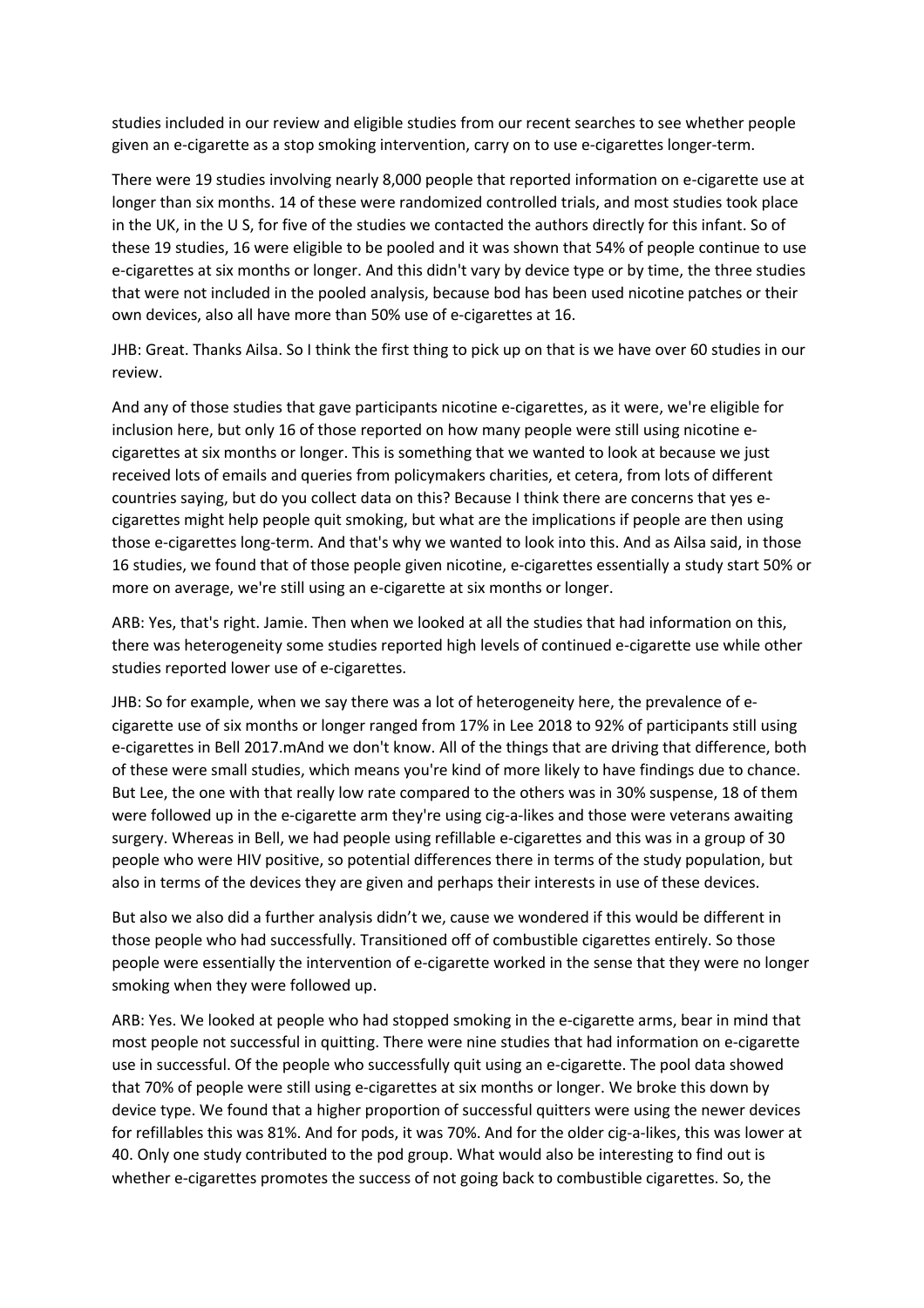studies included in our review and eligible studies from our recent searches to see whether people given an e-cigarette as a stop smoking intervention, carry on to use e-cigarettes longer-term.

There were 19 studies involving nearly 8,000 people that reported information on e-cigarette use at longer than six months. 14 of these were randomized controlled trials, and most studies took place in the UK, in the U S, for five of the studies we contacted the authors directly for this infant. So of these 19 studies, 16 were eligible to be pooled and it was shown that 54% of people continue to use e-cigarettes at six months or longer. And this didn't vary by device type or by time, the three studies that were not included in the pooled analysis, because bod has been used nicotine patches or their own devices, also all have more than 50% use of e-cigarettes at 16.

JHB: Great. Thanks Ailsa. So I think the first thing to pick up on that is we have over 60 studies in our review.

And any of those studies that gave participants nicotine e-cigarettes, as it were, we're eligible for inclusion here, but only 16 of those reported on how many people were still using nicotine ecigarettes at six months or longer. This is something that we wanted to look at because we just received lots of emails and queries from policymakers charities, et cetera, from lots of different countries saying, but do you collect data on this? Because I think there are concerns that yes ecigarettes might help people quit smoking, but what are the implications if people are then using those e-cigarettes long-term. And that's why we wanted to look into this. And as Ailsa said, in those 16 studies, we found that of those people given nicotine, e-cigarettes essentially a study start 50% or more on average, we're still using an e-cigarette at six months or longer.

ARB: Yes, that's right. Jamie. Then when we looked at all the studies that had information on this, there was heterogeneity some studies reported high levels of continued e-cigarette use while other studies reported lower use of e-cigarettes.

JHB: So for example, when we say there was a lot of heterogeneity here, the prevalence of ecigarette use of six months or longer ranged from 17% in Lee 2018 to 92% of participants still using e-cigarettes in Bell 2017.mAnd we don't know. All of the things that are driving that difference, both of these were small studies, which means you're kind of more likely to have findings due to chance. But Lee, the one with that really low rate compared to the others was in 30% suspense, 18 of them were followed up in the e-cigarette arm they're using cig-a-likes and those were veterans awaiting surgery. Whereas in Bell, we had people using refillable e-cigarettes and this was in a group of 30 people who were HIV positive, so potential differences there in terms of the study population, but also in terms of the devices they are given and perhaps their interests in use of these devices.

But also we also did a further analysis didn't we, cause we wondered if this would be different in those people who had successfully. Transitioned off of combustible cigarettes entirely. So those people were essentially the intervention of e-cigarette worked in the sense that they were no longer smoking when they were followed up.

ARB: Yes. We looked at people who had stopped smoking in the e-cigarette arms, bear in mind that most people not successful in quitting. There were nine studies that had information on e-cigarette use in successful. Of the people who successfully quit using an e-cigarette. The pool data showed that 70% of people were still using e-cigarettes at six months or longer. We broke this down by device type. We found that a higher proportion of successful quitters were using the newer devices for refillables this was 81%. And for pods, it was 70%. And for the older cig-a-likes, this was lower at 40. Only one study contributed to the pod group. What would also be interesting to find out is whether e-cigarettes promotes the success of not going back to combustible cigarettes. So, the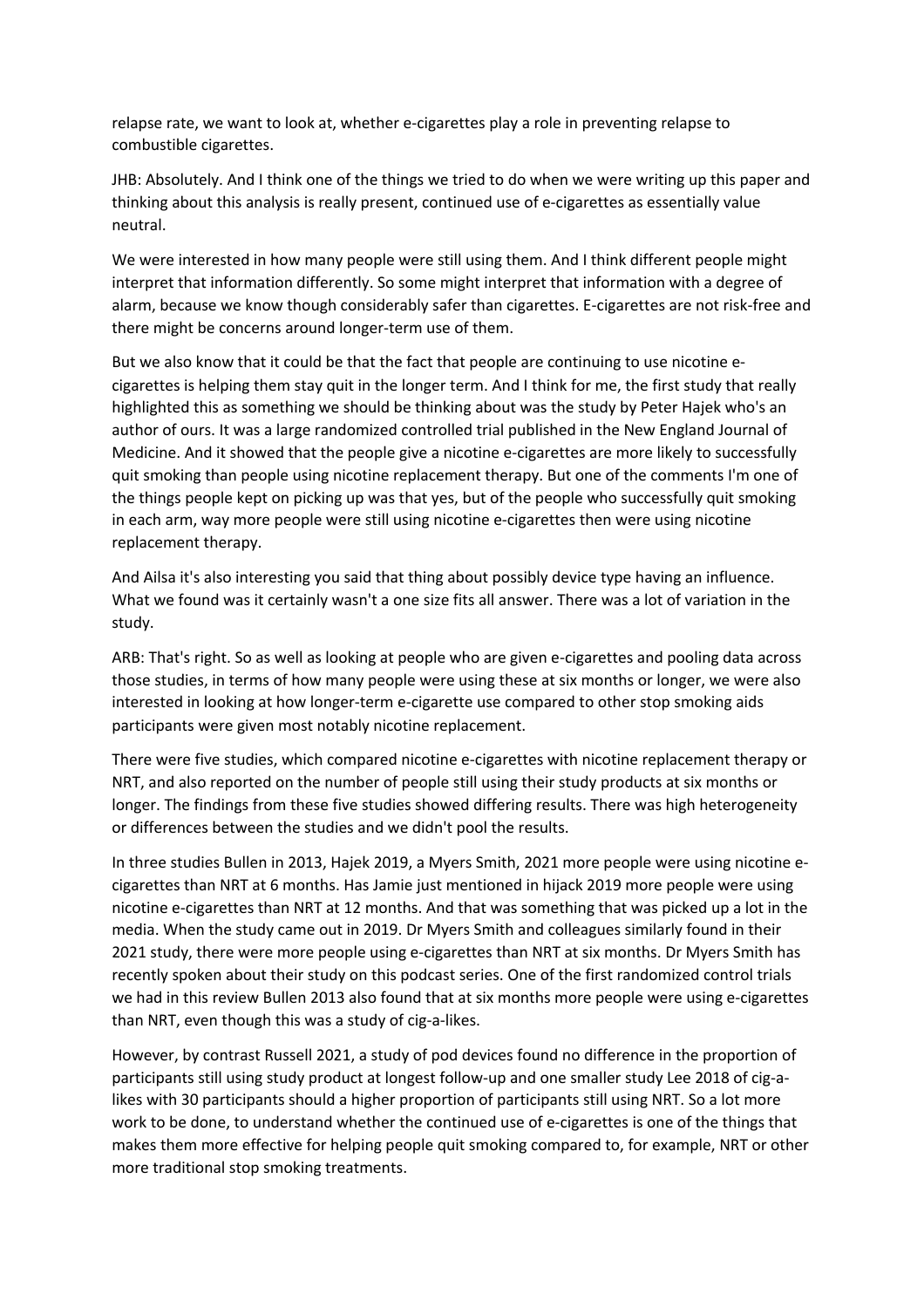relapse rate, we want to look at, whether e-cigarettes play a role in preventing relapse to combustible cigarettes.

JHB: Absolutely. And I think one of the things we tried to do when we were writing up this paper and thinking about this analysis is really present, continued use of e-cigarettes as essentially value neutral.

We were interested in how many people were still using them. And I think different people might interpret that information differently. So some might interpret that information with a degree of alarm, because we know though considerably safer than cigarettes. E-cigarettes are not risk-free and there might be concerns around longer-term use of them.

But we also know that it could be that the fact that people are continuing to use nicotine ecigarettes is helping them stay quit in the longer term. And I think for me, the first study that really highlighted this as something we should be thinking about was the study by Peter Hajek who's an author of ours. It was a large randomized controlled trial published in the New England Journal of Medicine. And it showed that the people give a nicotine e-cigarettes are more likely to successfully quit smoking than people using nicotine replacement therapy. But one of the comments I'm one of the things people kept on picking up was that yes, but of the people who successfully quit smoking in each arm, way more people were still using nicotine e-cigarettes then were using nicotine replacement therapy.

And Ailsa it's also interesting you said that thing about possibly device type having an influence. What we found was it certainly wasn't a one size fits all answer. There was a lot of variation in the study.

ARB: That's right. So as well as looking at people who are given e-cigarettes and pooling data across those studies, in terms of how many people were using these at six months or longer, we were also interested in looking at how longer-term e-cigarette use compared to other stop smoking aids participants were given most notably nicotine replacement.

There were five studies, which compared nicotine e-cigarettes with nicotine replacement therapy or NRT, and also reported on the number of people still using their study products at six months or longer. The findings from these five studies showed differing results. There was high heterogeneity or differences between the studies and we didn't pool the results.

In three studies Bullen in 2013, Hajek 2019, a Myers Smith, 2021 more people were using nicotine ecigarettes than NRT at 6 months. Has Jamie just mentioned in hijack 2019 more people were using nicotine e-cigarettes than NRT at 12 months. And that was something that was picked up a lot in the media. When the study came out in 2019. Dr Myers Smith and colleagues similarly found in their 2021 study, there were more people using e-cigarettes than NRT at six months. Dr Myers Smith has recently spoken about their study on this podcast series. One of the first randomized control trials we had in this review Bullen 2013 also found that at six months more people were using e-cigarettes than NRT, even though this was a study of cig-a-likes.

However, by contrast Russell 2021, a study of pod devices found no difference in the proportion of participants still using study product at longest follow-up and one smaller study Lee 2018 of cig-alikes with 30 participants should a higher proportion of participants still using NRT. So a lot more work to be done, to understand whether the continued use of e-cigarettes is one of the things that makes them more effective for helping people quit smoking compared to, for example, NRT or other more traditional stop smoking treatments.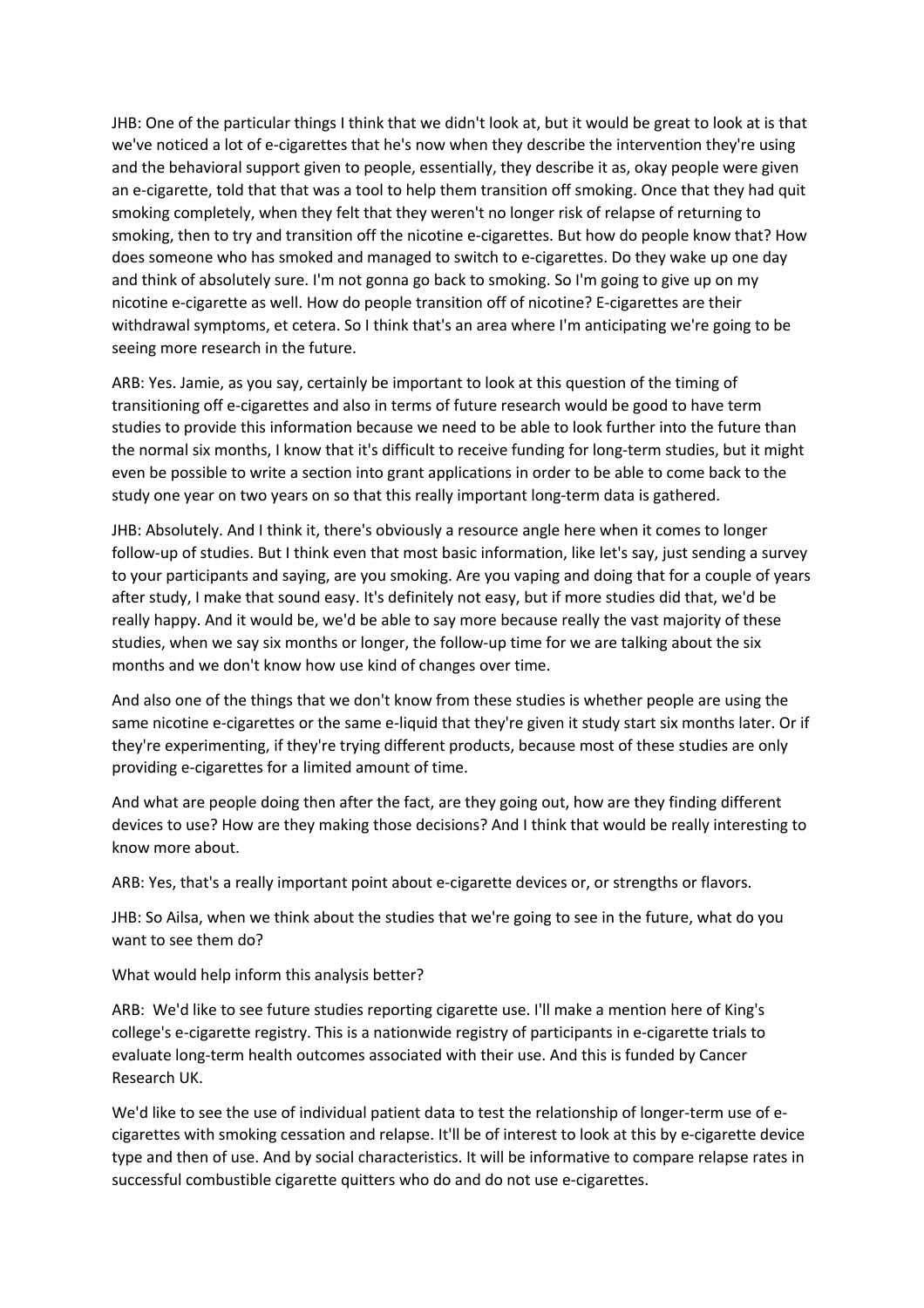JHB: One of the particular things I think that we didn't look at, but it would be great to look at is that we've noticed a lot of e-cigarettes that he's now when they describe the intervention they're using and the behavioral support given to people, essentially, they describe it as, okay people were given an e-cigarette, told that that was a tool to help them transition off smoking. Once that they had quit smoking completely, when they felt that they weren't no longer risk of relapse of returning to smoking, then to try and transition off the nicotine e-cigarettes. But how do people know that? How does someone who has smoked and managed to switch to e-cigarettes. Do they wake up one day and think of absolutely sure. I'm not gonna go back to smoking. So I'm going to give up on my nicotine e-cigarette as well. How do people transition off of nicotine? E-cigarettes are their withdrawal symptoms, et cetera. So I think that's an area where I'm anticipating we're going to be seeing more research in the future.

ARB: Yes. Jamie, as you say, certainly be important to look at this question of the timing of transitioning off e-cigarettes and also in terms of future research would be good to have term studies to provide this information because we need to be able to look further into the future than the normal six months, I know that it's difficult to receive funding for long-term studies, but it might even be possible to write a section into grant applications in order to be able to come back to the study one year on two years on so that this really important long-term data is gathered.

JHB: Absolutely. And I think it, there's obviously a resource angle here when it comes to longer follow-up of studies. But I think even that most basic information, like let's say, just sending a survey to your participants and saying, are you smoking. Are you vaping and doing that for a couple of years after study, I make that sound easy. It's definitely not easy, but if more studies did that, we'd be really happy. And it would be, we'd be able to say more because really the vast majority of these studies, when we say six months or longer, the follow-up time for we are talking about the six months and we don't know how use kind of changes over time.

And also one of the things that we don't know from these studies is whether people are using the same nicotine e-cigarettes or the same e-liquid that they're given it study start six months later. Or if they're experimenting, if they're trying different products, because most of these studies are only providing e-cigarettes for a limited amount of time.

And what are people doing then after the fact, are they going out, how are they finding different devices to use? How are they making those decisions? And I think that would be really interesting to know more about.

ARB: Yes, that's a really important point about e-cigarette devices or, or strengths or flavors.

JHB: So Ailsa, when we think about the studies that we're going to see in the future, what do you want to see them do?

What would help inform this analysis better?

ARB: We'd like to see future studies reporting cigarette use. I'll make a mention here of King's college's e-cigarette registry. This is a nationwide registry of participants in e-cigarette trials to evaluate long-term health outcomes associated with their use. And this is funded by Cancer Research UK.

We'd like to see the use of individual patient data to test the relationship of longer-term use of ecigarettes with smoking cessation and relapse. It'll be of interest to look at this by e-cigarette device type and then of use. And by social characteristics. It will be informative to compare relapse rates in successful combustible cigarette quitters who do and do not use e-cigarettes.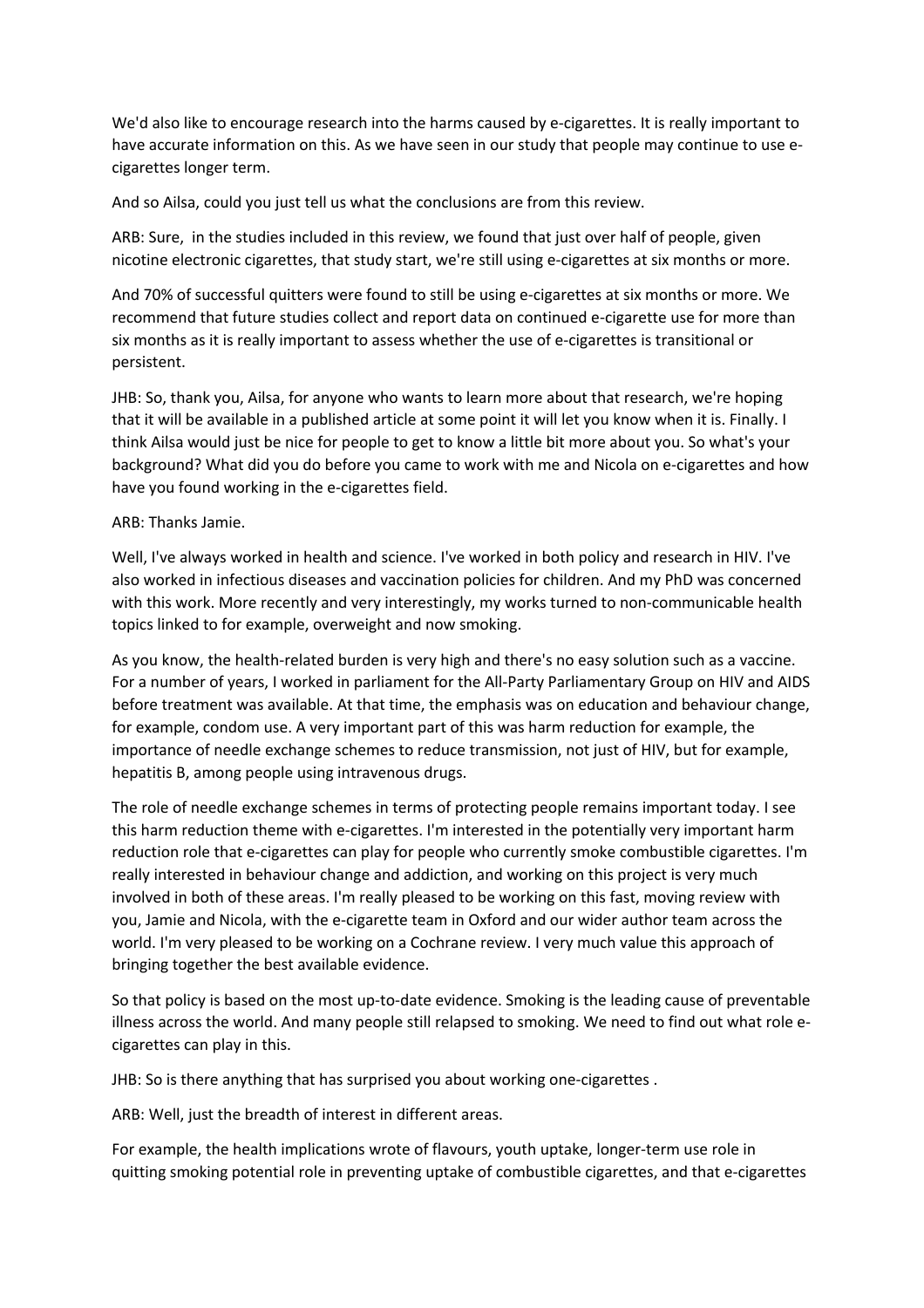We'd also like to encourage research into the harms caused by e-cigarettes. It is really important to have accurate information on this. As we have seen in our study that people may continue to use ecigarettes longer term.

And so Ailsa, could you just tell us what the conclusions are from this review.

ARB: Sure, in the studies included in this review, we found that just over half of people, given nicotine electronic cigarettes, that study start, we're still using e-cigarettes at six months or more.

And 70% of successful quitters were found to still be using e-cigarettes at six months or more. We recommend that future studies collect and report data on continued e-cigarette use for more than six months as it is really important to assess whether the use of e-cigarettes is transitional or persistent.

JHB: So, thank you, Ailsa, for anyone who wants to learn more about that research, we're hoping that it will be available in a published article at some point it will let you know when it is. Finally. I think Ailsa would just be nice for people to get to know a little bit more about you. So what's your background? What did you do before you came to work with me and Nicola on e-cigarettes and how have you found working in the e-cigarettes field.

## ARB: Thanks Jamie.

Well, I've always worked in health and science. I've worked in both policy and research in HIV. I've also worked in infectious diseases and vaccination policies for children. And my PhD was concerned with this work. More recently and very interestingly, my works turned to non-communicable health topics linked to for example, overweight and now smoking.

As you know, the health-related burden is very high and there's no easy solution such as a vaccine. For a number of years, I worked in parliament for the All-Party Parliamentary Group on HIV and AIDS before treatment was available. At that time, the emphasis was on education and behaviour change, for example, condom use. A very important part of this was harm reduction for example, the importance of needle exchange schemes to reduce transmission, not just of HIV, but for example, hepatitis B, among people using intravenous drugs.

The role of needle exchange schemes in terms of protecting people remains important today. I see this harm reduction theme with e-cigarettes. I'm interested in the potentially very important harm reduction role that e-cigarettes can play for people who currently smoke combustible cigarettes. I'm really interested in behaviour change and addiction, and working on this project is very much involved in both of these areas. I'm really pleased to be working on this fast, moving review with you, Jamie and Nicola, with the e-cigarette team in Oxford and our wider author team across the world. I'm very pleased to be working on a Cochrane review. I very much value this approach of bringing together the best available evidence.

So that policy is based on the most up-to-date evidence. Smoking is the leading cause of preventable illness across the world. And many people still relapsed to smoking. We need to find out what role ecigarettes can play in this.

JHB: So is there anything that has surprised you about working one-cigarettes .

ARB: Well, just the breadth of interest in different areas.

For example, the health implications wrote of flavours, youth uptake, longer-term use role in quitting smoking potential role in preventing uptake of combustible cigarettes, and that e-cigarettes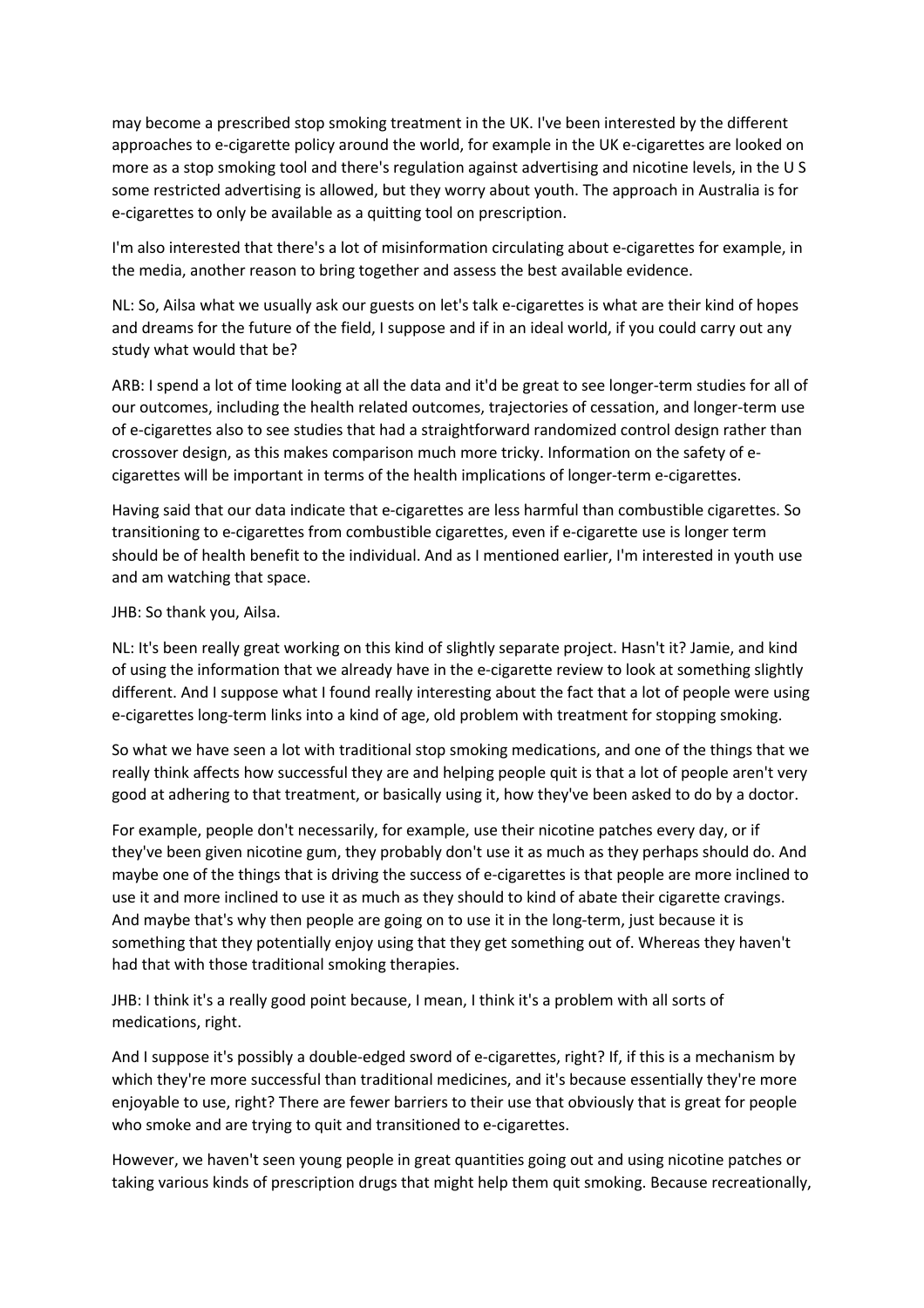may become a prescribed stop smoking treatment in the UK. I've been interested by the different approaches to e-cigarette policy around the world, for example in the UK e-cigarettes are looked on more as a stop smoking tool and there's regulation against advertising and nicotine levels, in the U S some restricted advertising is allowed, but they worry about youth. The approach in Australia is for e-cigarettes to only be available as a quitting tool on prescription.

I'm also interested that there's a lot of misinformation circulating about e-cigarettes for example, in the media, another reason to bring together and assess the best available evidence.

NL: So, Ailsa what we usually ask our guests on let's talk e-cigarettes is what are their kind of hopes and dreams for the future of the field, I suppose and if in an ideal world, if you could carry out any study what would that be?

ARB: I spend a lot of time looking at all the data and it'd be great to see longer-term studies for all of our outcomes, including the health related outcomes, trajectories of cessation, and longer-term use of e-cigarettes also to see studies that had a straightforward randomized control design rather than crossover design, as this makes comparison much more tricky. Information on the safety of ecigarettes will be important in terms of the health implications of longer-term e-cigarettes.

Having said that our data indicate that e-cigarettes are less harmful than combustible cigarettes. So transitioning to e-cigarettes from combustible cigarettes, even if e-cigarette use is longer term should be of health benefit to the individual. And as I mentioned earlier, I'm interested in youth use and am watching that space.

## JHB: So thank you, Ailsa.

NL: It's been really great working on this kind of slightly separate project. Hasn't it? Jamie, and kind of using the information that we already have in the e-cigarette review to look at something slightly different. And I suppose what I found really interesting about the fact that a lot of people were using e-cigarettes long-term links into a kind of age, old problem with treatment for stopping smoking.

So what we have seen a lot with traditional stop smoking medications, and one of the things that we really think affects how successful they are and helping people quit is that a lot of people aren't very good at adhering to that treatment, or basically using it, how they've been asked to do by a doctor.

For example, people don't necessarily, for example, use their nicotine patches every day, or if they've been given nicotine gum, they probably don't use it as much as they perhaps should do. And maybe one of the things that is driving the success of e-cigarettes is that people are more inclined to use it and more inclined to use it as much as they should to kind of abate their cigarette cravings. And maybe that's why then people are going on to use it in the long-term, just because it is something that they potentially enjoy using that they get something out of. Whereas they haven't had that with those traditional smoking therapies.

JHB: I think it's a really good point because, I mean, I think it's a problem with all sorts of medications, right.

And I suppose it's possibly a double-edged sword of e-cigarettes, right? If, if this is a mechanism by which they're more successful than traditional medicines, and it's because essentially they're more enjoyable to use, right? There are fewer barriers to their use that obviously that is great for people who smoke and are trying to quit and transitioned to e-cigarettes.

However, we haven't seen young people in great quantities going out and using nicotine patches or taking various kinds of prescription drugs that might help them quit smoking. Because recreationally,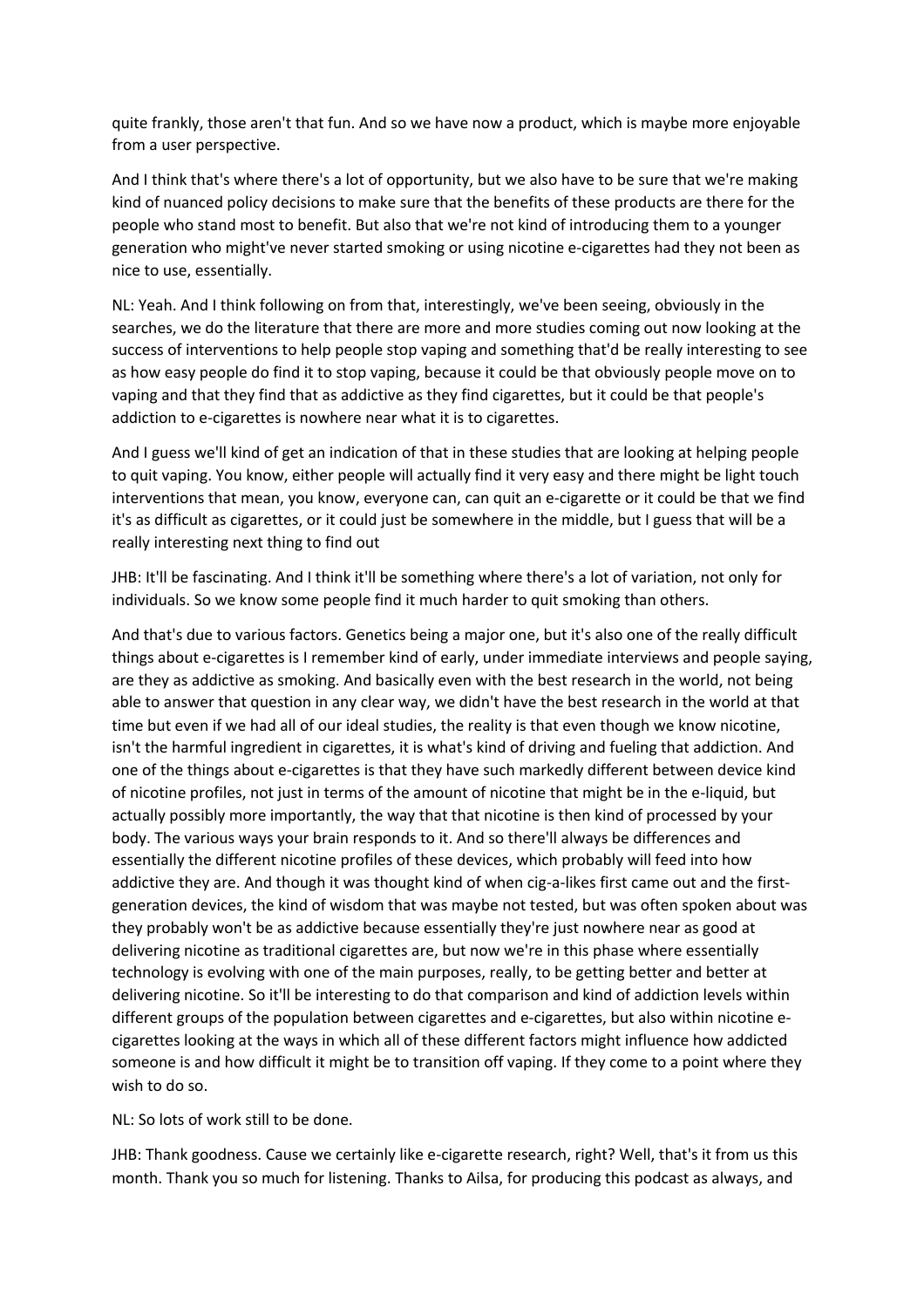quite frankly, those aren't that fun. And so we have now a product, which is maybe more enjoyable from a user perspective.

And I think that's where there's a lot of opportunity, but we also have to be sure that we're making kind of nuanced policy decisions to make sure that the benefits of these products are there for the people who stand most to benefit. But also that we're not kind of introducing them to a younger generation who might've never started smoking or using nicotine e-cigarettes had they not been as nice to use, essentially.

NL: Yeah. And I think following on from that, interestingly, we've been seeing, obviously in the searches, we do the literature that there are more and more studies coming out now looking at the success of interventions to help people stop vaping and something that'd be really interesting to see as how easy people do find it to stop vaping, because it could be that obviously people move on to vaping and that they find that as addictive as they find cigarettes, but it could be that people's addiction to e-cigarettes is nowhere near what it is to cigarettes.

And I guess we'll kind of get an indication of that in these studies that are looking at helping people to quit vaping. You know, either people will actually find it very easy and there might be light touch interventions that mean, you know, everyone can, can quit an e-cigarette or it could be that we find it's as difficult as cigarettes, or it could just be somewhere in the middle, but I guess that will be a really interesting next thing to find out

JHB: It'll be fascinating. And I think it'll be something where there's a lot of variation, not only for individuals. So we know some people find it much harder to quit smoking than others.

And that's due to various factors. Genetics being a major one, but it's also one of the really difficult things about e-cigarettes is I remember kind of early, under immediate interviews and people saying, are they as addictive as smoking. And basically even with the best research in the world, not being able to answer that question in any clear way, we didn't have the best research in the world at that time but even if we had all of our ideal studies, the reality is that even though we know nicotine, isn't the harmful ingredient in cigarettes, it is what's kind of driving and fueling that addiction. And one of the things about e-cigarettes is that they have such markedly different between device kind of nicotine profiles, not just in terms of the amount of nicotine that might be in the e-liquid, but actually possibly more importantly, the way that that nicotine is then kind of processed by your body. The various ways your brain responds to it. And so there'll always be differences and essentially the different nicotine profiles of these devices, which probably will feed into how addictive they are. And though it was thought kind of when cig-a-likes first came out and the firstgeneration devices, the kind of wisdom that was maybe not tested, but was often spoken about was they probably won't be as addictive because essentially they're just nowhere near as good at delivering nicotine as traditional cigarettes are, but now we're in this phase where essentially technology is evolving with one of the main purposes, really, to be getting better and better at delivering nicotine. So it'll be interesting to do that comparison and kind of addiction levels within different groups of the population between cigarettes and e-cigarettes, but also within nicotine ecigarettes looking at the ways in which all of these different factors might influence how addicted someone is and how difficult it might be to transition off vaping. If they come to a point where they wish to do so.

NL: So lots of work still to be done.

JHB: Thank goodness. Cause we certainly like e-cigarette research, right? Well, that's it from us this month. Thank you so much for listening. Thanks to Ailsa, for producing this podcast as always, and